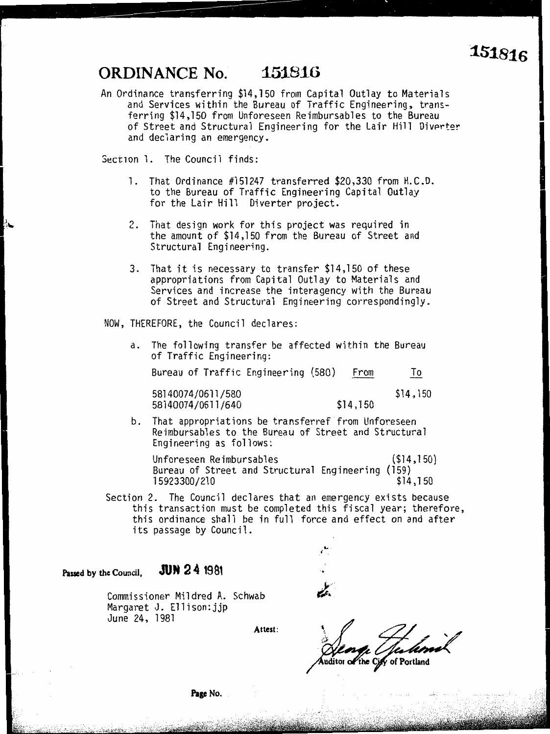## **ORDINANCE No. 151816**<br>An Ordinance transferring \$14,150 from Capital Outlay to Materials

and Services within the Bureau of Traffic Engineering, transferring \$14,150 from Unforeseen Reimbursables to the Bureau fing \$14,150 from Unforeseen Reimbursables to the Bureau<br>Street and Structural Engineering for the Lair Hill Diverte of Street and Structural Engineering for the Lair Hill DivPrter and declaring an emergency.

Section 1. The Council finds:

- 1. That Ordinance #151247 transferred \$20,330 from H.C.D. for the Lair Hill Diverter project.
- indt design work for this project was required in<br>The amount of \$14.150 from the Bureau of Street and e amount of \$14,150 from the Bureau of Street and<br>ructural Engineering Structural Engineering.
- 3. That it is necessary to transfer \$14,150 of these Services and increase the interagency with the Bureau invices and increase the interagency with the Bureau.<br>Straat and Structural Engineering correspondingly of Street and Structural Engineering correspondingly.
- NOW, THEREFORE, the Council declares:
	- a. The following transfer be affected within the Bureau of Traffic Engineering:

Bureau of Traffic Engineering {580) From To

58140074/0611/580

\$14,150 \$140074/0611/580<br>58140074/0611/640 \$14,150<br>That appropriations be transferref from Unforeseen . That appropriations be transferref from Unforeseen<br>**Baimbursables to the Rureau of Street and Structura** enmoursables to the Bureau of Street and Structural<br>naineering as follows: Engineering as follows:

Unforeseen Reimbursables (\$14,150) ureau of Street and Structural Engineering (159)<br>E0233007210  $3523300 / 210$   $914, 150$ 

 $\mathcal{L}_{\mathcal{L}}$ 

Section 2. The Council declares that an emergency exists because<br>this transaction must be completed this fiscal year; therefore, fils transaction must be completed this fiscal year; therefore,<br>his ordinance shall be in full force and effect on and after nis ordinance shall be in full force and effect on and after<br>to passage by Council its passage by Council.

**Passed by the Council, JUN 2 4 <sup>1981</sup>**

Commissioner Mildred A. Schwab Margaret J. Ellison:jjp June 24, 1981

**Attest:** 

uditor of the City of Portland

**Page No.**